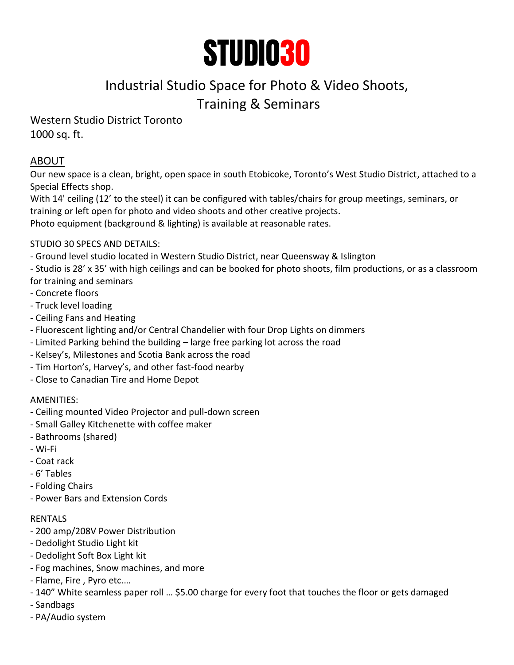

# Industrial Studio Space for Photo & Video Shoots, Training & Seminars

# Western Studio District Toronto 1000 sq. ft.

# ABOUT

Our new space is a clean, bright, open space in south Etobicoke, Toronto's West Studio District, attached to a Special Effects shop.

With 14' ceiling (12' to the steel) it can be configured with tables/chairs for group meetings, seminars, or training or left open for photo and video shoots and other creative projects.

Photo equipment (background & lighting) is available at reasonable rates.

## STUDIO 30 SPECS AND DETAILS:

- Ground level studio located in Western Studio District, near Queensway & Islington
- Studio is 28' x 35' with high ceilings and can be booked for photo shoots, film productions, or as a classroom for training and seminars
- Concrete floors
- Truck level loading
- Ceiling Fans and Heating
- Fluorescent lighting and/or Central Chandelier with four Drop Lights on dimmers
- Limited Parking behind the building large free parking lot across the road
- Kelsey's, Milestones and Scotia Bank across the road
- Tim Horton's, Harvey's, and other fast-food nearby
- Close to Canadian Tire and Home Depot

## AMENITIES:

- Ceiling mounted Video Projector and pull-down screen
- Small Galley Kitchenette with coffee maker
- Bathrooms (shared)
- Wi-Fi
- Coat rack
- 6' Tables
- Folding Chairs
- Power Bars and Extension Cords

## RENTALS

- 200 amp/208V Power Distribution
- Dedolight Studio Light kit
- Dedolight Soft Box Light kit
- Fog machines, Snow machines, and more
- Flame, Fire , Pyro etc.…
- 140" White seamless paper roll … \$5.00 charge for every foot that touches the floor or gets damaged
- Sandbags
- PA/Audio system